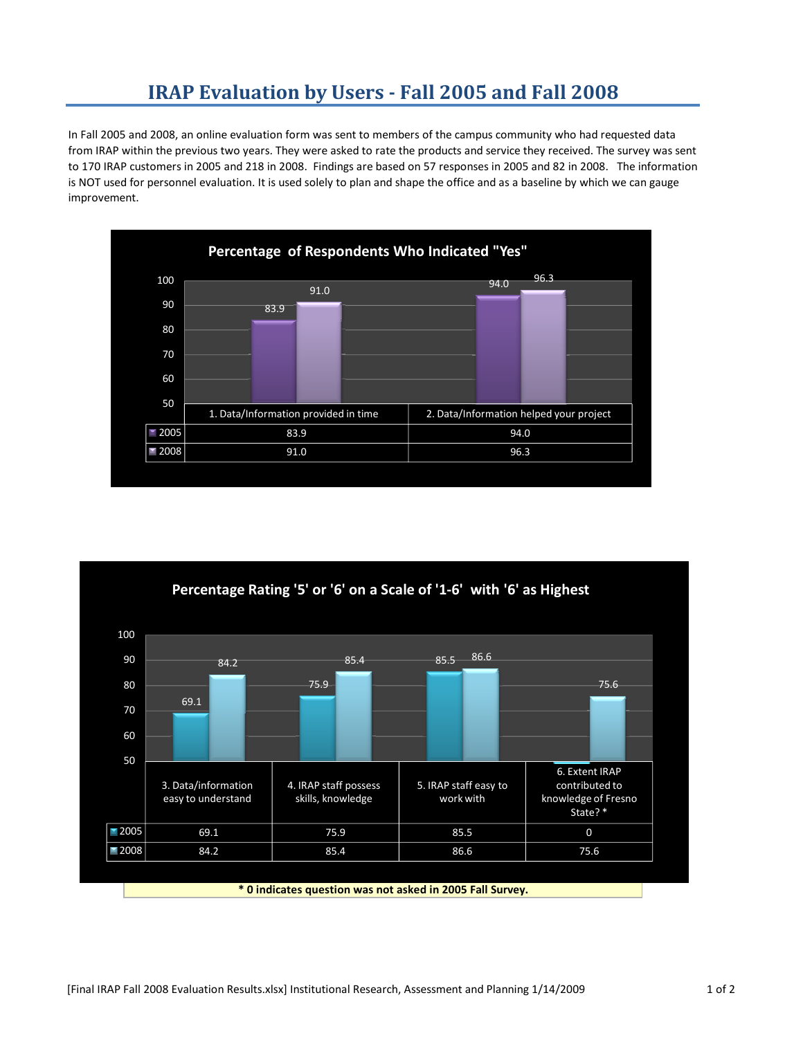## **IRAP Evaluation by Users Fall 2005 and Fall 2008**

In Fall 2005 and 2008, an online evaluation form was sent to members of the campus community who had requested data from IRAP within the previous two years. They were asked to rate the products and service they received. The survey was sent to 170 IRAP customers in 2005 and 218 in 2008. Findings are based on 57 responses in 2005 and 82 in 2008. The information is NOT used for personnel evaluation. It is used solely to plan and shape the office and as a baseline by which we can gauge improvement.